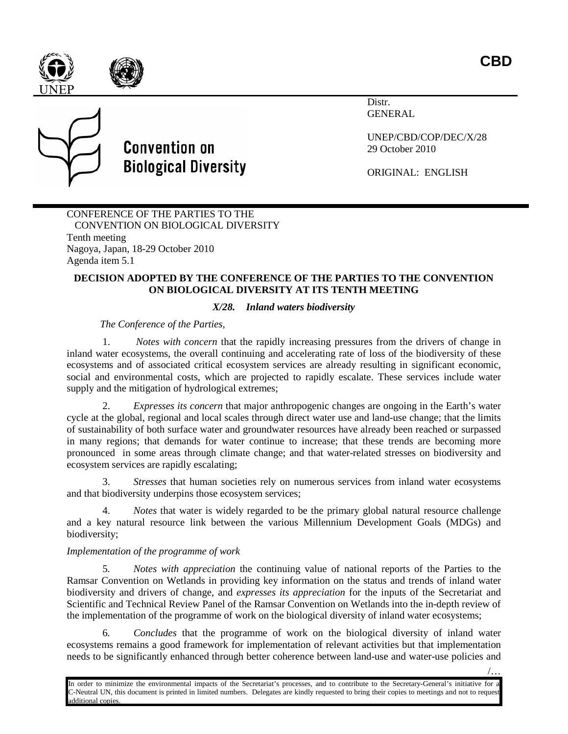/…





# **Convention on Biological Diversity**

Distr. GENERAL

UNEP/CBD/COP/DEC/X/28 29 October 2010

ORIGINAL: ENGLISH

CONFERENCE OF THE PARTIES TO THE CONVENTION ON BIOLOGICAL DIVERSITY Tenth meeting Nagoya, Japan, 18-29 October 2010 Agenda item 5.1

## **DECISION ADOPTED BY THE CONFERENCE OF THE PARTIES TO THE CONVENTION ON BIOLOGICAL DIVERSITY AT ITS TENTH MEETING**

# *X/28. Inland waters biodiversity*

*The Conference of the Parties,*

1. *Notes with concern* that the rapidly increasing pressures from the drivers of change in inland water ecosystems, the overall continuing and accelerating rate of loss of the biodiversity of these ecosystems and of associated critical ecosystem services are already resulting in significant economic, social and environmental costs, which are projected to rapidly escalate. These services include water supply and the mitigation of hydrological extremes;

2. *Expresses its concern* that major anthropogenic changes are ongoing in the Earth's water cycle at the global, regional and local scales through direct water use and land-use change; that the limits of sustainability of both surface water and groundwater resources have already been reached or surpassed in many regions; that demands for water continue to increase; that these trends are becoming more pronounced in some areas through climate change; and that water-related stresses on biodiversity and ecosystem services are rapidly escalating;

3. *Stresses* that human societies rely on numerous services from inland water ecosystems and that biodiversity underpins those ecosystem services;

4. *Notes* that water is widely regarded to be the primary global natural resource challenge and a key natural resource link between the various Millennium Development Goals (MDGs) and biodiversity;

# *Implementation of the programme of work*

5*. Notes with appreciation* the continuing value of national reports of the Parties to the Ramsar Convention on Wetlands in providing key information on the status and trends of inland water biodiversity and drivers of change, and *expresses its appreciation* for the inputs of the Secretariat and Scientific and Technical Review Panel of the Ramsar Convention on Wetlands into the in-depth review of the implementation of the programme of work on the biological diversity of inland water ecosystems;

6*. Concludes* that the programme of work on the biological diversity of inland water ecosystems remains a good framework for implementation of relevant activities but that implementation needs to be significantly enhanced through better coherence between land-use and water-use policies and

In order to minimize the environmental impacts of the Secretariat's processes, and to contribute to the Secretary-General's initiative for a C-Neutral UN, this document is printed in limited numbers. Delegates are kindly requested to bring their copies to meetings and not to request additional copies.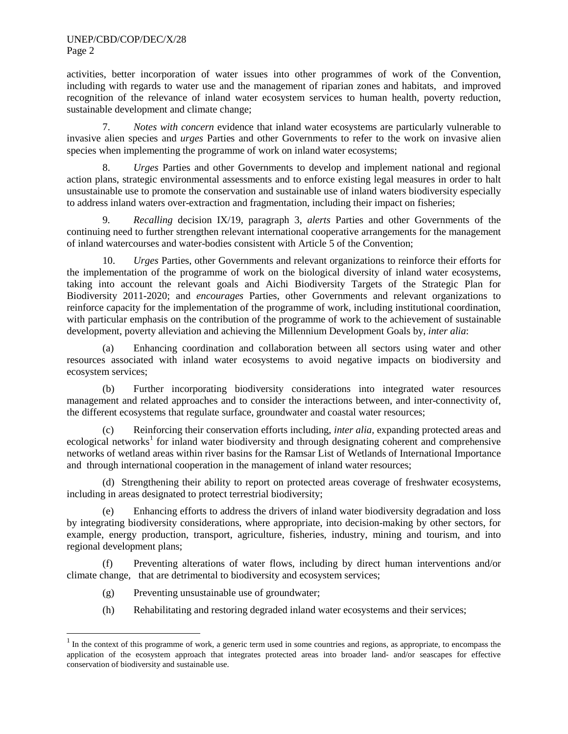#### UNEP/CBD/COP/DEC/X/28 Page 2

activities, better incorporation of water issues into other programmes of work of the Convention, including with regards to water use and the management of riparian zones and habitats, and improved recognition of the relevance of inland water ecosystem services to human health, poverty reduction, sustainable development and climate change;

7. *Notes with concern* evidence that inland water ecosystems are particularly vulnerable to invasive alien species and *urges* Parties and other Governments to refer to the work on invasive alien species when implementing the programme of work on inland water ecosystems;

8. *Urges* Parties and other Governments to develop and implement national and regional action plans, strategic environmental assessments and to enforce existing legal measures in order to halt unsustainable use to promote the conservation and sustainable use of inland waters biodiversity especially to address inland waters over-extraction and fragmentation, including their impact on fisheries;

9. *Recalling* decision IX/19, paragraph 3, *alerts* Parties and other Governments of the continuing need to further strengthen relevant international cooperative arrangements for the management of inland watercourses and water-bodies consistent with Article 5 of the Convention;

10. *Urges* Parties, other Governments and relevant organizations to reinforce their efforts for the implementation of the programme of work on the biological diversity of inland water ecosystems, taking into account the relevant goals and Aichi Biodiversity Targets of the Strategic Plan for Biodiversity 2011-2020; and *encourages* Parties, other Governments and relevant organizations to reinforce capacity for the implementation of the programme of work, including institutional coordination, with particular emphasis on the contribution of the programme of work to the achievement of sustainable development, poverty alleviation and achieving the Millennium Development Goals by, *inter alia*:

(a) Enhancing coordination and collaboration between all sectors using water and other resources associated with inland water ecosystems to avoid negative impacts on biodiversity and ecosystem services;

(b) Further incorporating biodiversity considerations into integrated water resources management and related approaches and to consider the interactions between, and inter-connectivity of, the different ecosystems that regulate surface, groundwater and coastal water resources;

(c) Reinforcing their conservation efforts including, *inter alia,* expanding protected areas and ecological networks<sup>[1](#page-1-0)</sup> for inland water biodiversity and through designating coherent and comprehensive networks of wetland areas within river basins for the Ramsar List of Wetlands of International Importance and through international cooperation in the management of inland water resources;

(d) Strengthening their ability to report on protected areas coverage of freshwater ecosystems, including in areas designated to protect terrestrial biodiversity;

(e) Enhancing efforts to address the drivers of inland water biodiversity degradation and loss by integrating biodiversity considerations, where appropriate, into decision-making by other sectors, for example, energy production, transport, agriculture, fisheries, industry, mining and tourism, and into regional development plans;

(f) Preventing alterations of water flows, including by direct human interventions and/or climate change, that are detrimental to biodiversity and ecosystem services;

- (g) Preventing unsustainable use of groundwater;
- (h) Rehabilitating and restoring degraded inland water ecosystems and their services;

<span id="page-1-0"></span> $<sup>1</sup>$  In the context of this programme of work, a generic term used in some countries and regions, as appropriate, to encompass the</sup> application of the ecosystem approach that integrates protected areas into broader land- and/or seascapes for effective conservation of biodiversity and sustainable use.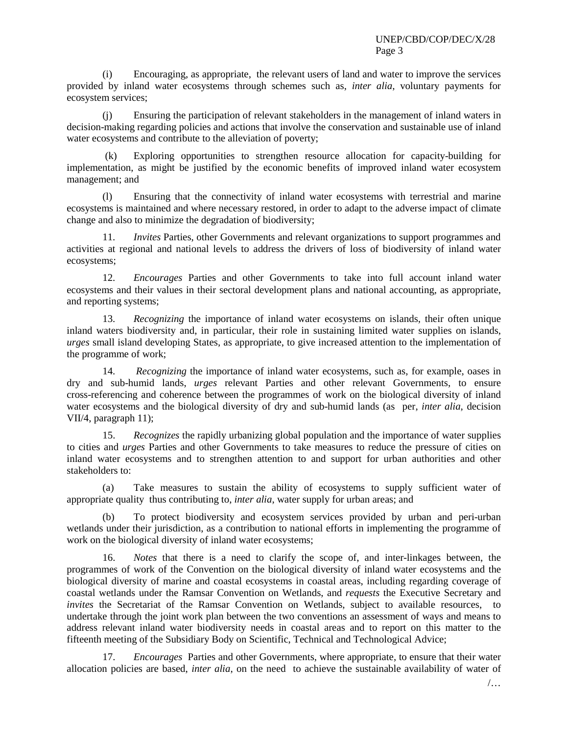(i) Encouraging, as appropriate, the relevant users of land and water to improve the services provided by inland water ecosystems through schemes such as, *inter alia*, voluntary payments for ecosystem services;

(j) Ensuring the participation of relevant stakeholders in the management of inland waters in decision-making regarding policies and actions that involve the conservation and sustainable use of inland water ecosystems and contribute to the alleviation of poverty;

(k) Exploring opportunities to strengthen resource allocation for capacity-building for implementation, as might be justified by the economic benefits of improved inland water ecosystem management; and

(l) Ensuring that the connectivity of inland water ecosystems with terrestrial and marine ecosystems is maintained and where necessary restored, in order to adapt to the adverse impact of climate change and also to minimize the degradation of biodiversity;

11. *Invites* Parties, other Governments and relevant organizations to support programmes and activities at regional and national levels to address the drivers of loss of biodiversity of inland water ecosystems;

12. *Encourages* Parties and other Governments to take into full account inland water ecosystems and their values in their sectoral development plans and national accounting, as appropriate, and reporting systems;

13. *Recognizing* the importance of inland water ecosystems on islands, their often unique inland waters biodiversity and, in particular, their role in sustaining limited water supplies on islands, *urges* small island developing States, as appropriate, to give increased attention to the implementation of the programme of work;

14. *Recognizing* the importance of inland water ecosystems, such as, for example, oases in dry and sub-humid lands, *urges* relevant Parties and other relevant Governments, to ensure cross-referencing and coherence between the programmes of work on the biological diversity of inland water ecosystems and the biological diversity of dry and sub-humid lands (as per, *inter alia*, decision VII/4, paragraph 11);

15. *Recognizes* the rapidly urbanizing global population and the importance of water supplies to cities and *urges* Parties and other Governments to take measures to reduce the pressure of cities on inland water ecosystems and to strengthen attention to and support for urban authorities and other stakeholders to:

(a) Take measures to sustain the ability of ecosystems to supply sufficient water of appropriate quality thus contributing to, *inter alia*, water supply for urban areas; and

(b) To protect biodiversity and ecosystem services provided by urban and peri-urban wetlands under their jurisdiction, as a contribution to national efforts in implementing the programme of work on the biological diversity of inland water ecosystems;

16. *Notes* that there is a need to clarify the scope of, and inter-linkages between, the programmes of work of the Convention on the biological diversity of inland water ecosystems and the biological diversity of marine and coastal ecosystems in coastal areas, including regarding coverage of coastal wetlands under the Ramsar Convention on Wetlands, and *requests* the Executive Secretary and *invites* the Secretariat of the Ramsar Convention on Wetlands, subject to available resources, to undertake through the joint work plan between the two conventions an assessment of ways and means to address relevant inland water biodiversity needs in coastal areas and to report on this matter to the fifteenth meeting of the Subsidiary Body on Scientific, Technical and Technological Advice;

17. *Encourages* Parties and other Governments, where appropriate, to ensure that their water allocation policies are based, *inter alia*, on the need to achieve the sustainable availability of water of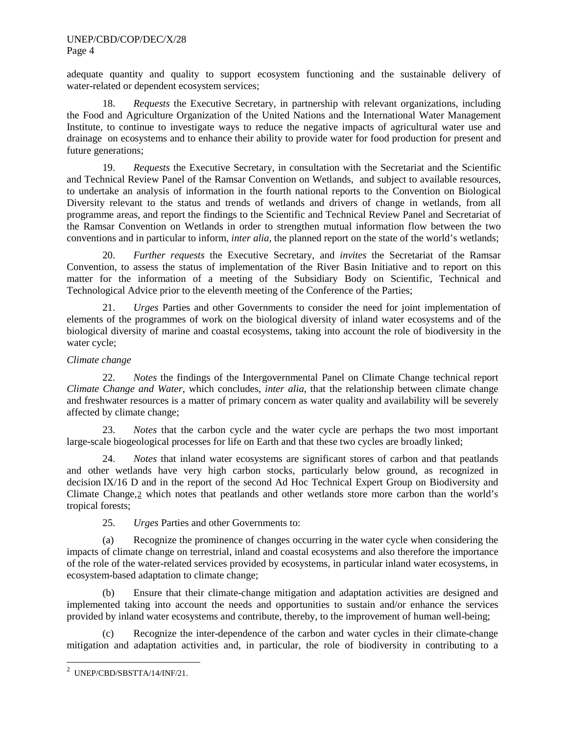adequate quantity and quality to support ecosystem functioning and the sustainable delivery of water-related or dependent ecosystem services;

18. *Requests* the Executive Secretary, in partnership with relevant organizations, including the Food and Agriculture Organization of the United Nations and the International Water Management Institute, to continue to investigate ways to reduce the negative impacts of agricultural water use and drainage on ecosystems and to enhance their ability to provide water for food production for present and future generations;

19. *Requests* the Executive Secretary, in consultation with the Secretariat and the Scientific and Technical Review Panel of the Ramsar Convention on Wetlands, and subject to available resources, to undertake an analysis of information in the fourth national reports to the Convention on Biological Diversity relevant to the status and trends of wetlands and drivers of change in wetlands, from all programme areas, and report the findings to the Scientific and Technical Review Panel and Secretariat of the Ramsar Convention on Wetlands in order to strengthen mutual information flow between the two conventions and in particular to inform, *inter alia,* the planned report on the state of the world's wetlands;

20. *Further requests* the Executive Secretary, and *invites* the Secretariat of the Ramsar Convention, to assess the status of implementation of the River Basin Initiative and to report on this matter for the information of a meeting of the Subsidiary Body on Scientific, Technical and Technological Advice prior to the eleventh meeting of the Conference of the Parties;

21. *Urges* Parties and other Governments to consider the need for joint implementation of elements of the programmes of work on the biological diversity of inland water ecosystems and of the biological diversity of marine and coastal ecosystems, taking into account the role of biodiversity in the water cycle;

### *Climate change*

22. *Notes* the findings of the Intergovernmental Panel on Climate Change technical report *Climate Change and Water*, which concludes, *inter alia*, that the relationship between climate change and freshwater resources is a matter of primary concern as water quality and availability will be severely affected by climate change;

23. *Notes* that the carbon cycle and the water cycle are perhaps the two most important large-scale biogeological processes for life on Earth and that these two cycles are broadly linked;

24. *Notes* that inland water ecosystems are significant stores of carbon and that peatlands and other wetlands have very high carbon stocks, particularly below ground, as recognized in decision IX/16 D and in the report of the second Ad Hoc Technical Expert Group on Biodiversity and Climate Change, [2](#page-3-0) which notes that peatlands and other wetlands store more carbon than the world's tropical forests;

25. *Urges* Parties and other Governments to:

(a) Recognize the prominence of changes occurring in the water cycle when considering the impacts of climate change on terrestrial, inland and coastal ecosystems and also therefore the importance of the role of the water-related services provided by ecosystems, in particular inland water ecosystems, in ecosystem-based adaptation to climate change;

(b) Ensure that their climate-change mitigation and adaptation activities are designed and implemented taking into account the needs and opportunities to sustain and/or enhance the services provided by inland water ecosystems and contribute, thereby, to the improvement of human well-being;

(c) Recognize the inter-dependence of the carbon and water cycles in their climate-change mitigation and adaptation activities and, in particular, the role of biodiversity in contributing to a

<span id="page-3-0"></span> $\frac{1}{2}$ UNEP/CBD/SBSTTA/14/INF/21.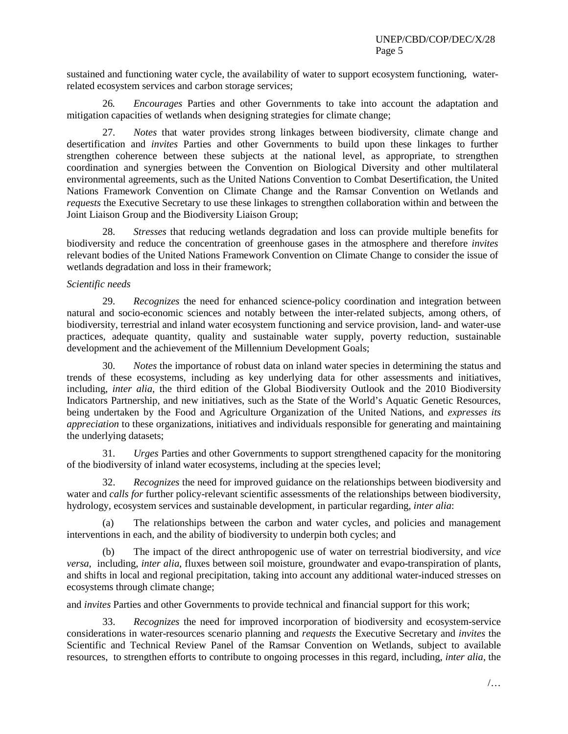sustained and functioning water cycle, the availability of water to support ecosystem functioning, waterrelated ecosystem services and carbon storage services;

26*. Encourages* Parties and other Governments to take into account the adaptation and mitigation capacities of wetlands when designing strategies for climate change;

27. *Notes* that water provides strong linkages between biodiversity, climate change and desertification and *invites* Parties and other Governments to build upon these linkages to further strengthen coherence between these subjects at the national level, as appropriate, to strengthen coordination and synergies between the Convention on Biological Diversity and other multilateral environmental agreements, such as the United Nations Convention to Combat Desertification, the United Nations Framework Convention on Climate Change and the Ramsar Convention on Wetlands and *requests* the Executive Secretary to use these linkages to strengthen collaboration within and between the Joint Liaison Group and the Biodiversity Liaison Group;

28. *Stresses* that reducing wetlands degradation and loss can provide multiple benefits for biodiversity and reduce the concentration of greenhouse gases in the atmosphere and therefore *invites* relevant bodies of the United Nations Framework Convention on Climate Change to consider the issue of wetlands degradation and loss in their framework;

#### *Scientific needs*

29. *Recognizes* the need for enhanced science-policy coordination and integration between natural and socio-economic sciences and notably between the inter-related subjects, among others, of biodiversity, terrestrial and inland water ecosystem functioning and service provision, land- and water-use practices, adequate quantity, quality and sustainable water supply, poverty reduction, sustainable development and the achievement of the Millennium Development Goals;

30. *Notes* the importance of robust data on inland water species in determining the status and trends of these ecosystems, including as key underlying data for other assessments and initiatives, including, *inter alia*, the third edition of the Global Biodiversity Outlook and the 2010 Biodiversity Indicators Partnership, and new initiatives, such as the State of the World's Aquatic Genetic Resources, being undertaken by the Food and Agriculture Organization of the United Nations, and *expresses its appreciation* to these organizations, initiatives and individuals responsible for generating and maintaining the underlying datasets;

31. *Urges* Parties and other Governments to support strengthened capacity for the monitoring of the biodiversity of inland water ecosystems, including at the species level;

32. *Recognizes* the need for improved guidance on the relationships between biodiversity and water and *calls for* further policy-relevant scientific assessments of the relationships between biodiversity, hydrology, ecosystem services and sustainable development, in particular regarding, *inter alia*:

The relationships between the carbon and water cycles, and policies and management interventions in each, and the ability of biodiversity to underpin both cycles; and

(b) The impact of the direct anthropogenic use of water on terrestrial biodiversity, and *vice versa*, including, *inter alia*, fluxes between soil moisture, groundwater and evapo-transpiration of plants, and shifts in local and regional precipitation, taking into account any additional water-induced stresses on ecosystems through climate change;

and *invites* Parties and other Governments to provide technical and financial support for this work;

33. *Recognizes* the need for improved incorporation of biodiversity and ecosystem-service considerations in water-resources scenario planning and *requests* the Executive Secretary and *invites* the Scientific and Technical Review Panel of the Ramsar Convention on Wetlands, subject to available resources, to strengthen efforts to contribute to ongoing processes in this regard, including, *inter alia,* the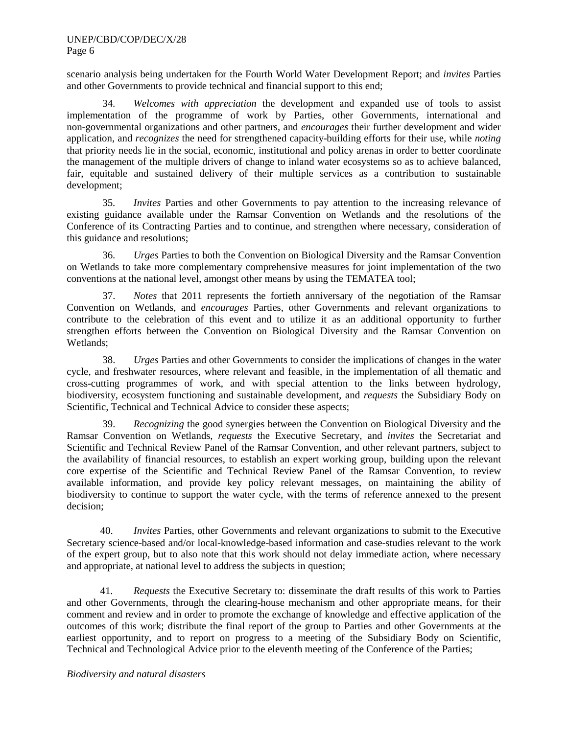scenario analysis being undertaken for the Fourth World Water Development Report; and *invites* Parties and other Governments to provide technical and financial support to this end;

34. *Welcomes with appreciation* the development and expanded use of tools to assist implementation of the programme of work by Parties, other Governments, international and non-governmental organizations and other partners, and *encourages* their further development and wider application, and *recognizes* the need for strengthened capacity-building efforts for their use, while *noting* that priority needs lie in the social, economic, institutional and policy arenas in order to better coordinate the management of the multiple drivers of change to inland water ecosystems so as to achieve balanced, fair, equitable and sustained delivery of their multiple services as a contribution to sustainable development;

35. *Invites* Parties and other Governments to pay attention to the increasing relevance of existing guidance available under the Ramsar Convention on Wetlands and the resolutions of the Conference of its Contracting Parties and to continue, and strengthen where necessary, consideration of this guidance and resolutions;

36. *Urges* Parties to both the Convention on Biological Diversity and the Ramsar Convention on Wetlands to take more complementary comprehensive measures for joint implementation of the two conventions at the national level, amongst other means by using the TEMATEA tool;

37. *Notes* that 2011 represents the fortieth anniversary of the negotiation of the Ramsar Convention on Wetlands, and *encourages* Parties, other Governments and relevant organizations to contribute to the celebration of this event and to utilize it as an additional opportunity to further strengthen efforts between the Convention on Biological Diversity and the Ramsar Convention on Wetlands;

38. *Urges* Parties and other Governments to consider the implications of changes in the water cycle, and freshwater resources, where relevant and feasible, in the implementation of all thematic and cross-cutting programmes of work, and with special attention to the links between hydrology, biodiversity, ecosystem functioning and sustainable development, and *requests* the Subsidiary Body on Scientific, Technical and Technical Advice to consider these aspects;

39. *Recognizing* the good synergies between the Convention on Biological Diversity and the Ramsar Convention on Wetlands, *requests* the Executive Secretary, and *invites* the Secretariat and Scientific and Technical Review Panel of the Ramsar Convention, and other relevant partners, subject to the availability of financial resources, to establish an expert working group, building upon the relevant core expertise of the Scientific and Technical Review Panel of the Ramsar Convention, to review available information, and provide key policy relevant messages, on maintaining the ability of biodiversity to continue to support the water cycle, with the terms of reference annexed to the present decision;

40. *Invites* Parties, other Governments and relevant organizations to submit to the Executive Secretary science-based and/or local-knowledge-based information and case-studies relevant to the work of the expert group, but to also note that this work should not delay immediate action, where necessary and appropriate, at national level to address the subjects in question;

41. *Requests* the Executive Secretary to: disseminate the draft results of this work to Parties and other Governments, through the clearing-house mechanism and other appropriate means, for their comment and review and in order to promote the exchange of knowledge and effective application of the outcomes of this work; distribute the final report of the group to Parties and other Governments at the earliest opportunity, and to report on progress to a meeting of the Subsidiary Body on Scientific, Technical and Technological Advice prior to the eleventh meeting of the Conference of the Parties;

#### *Biodiversity and natural disasters*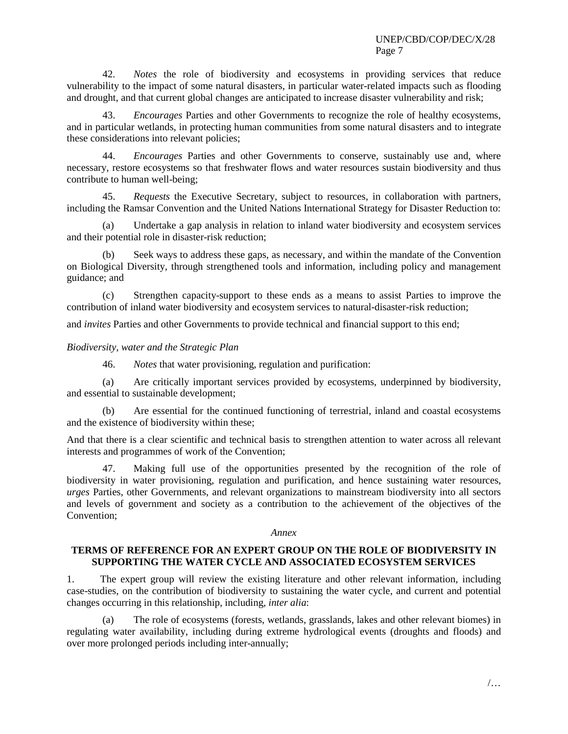42. *Notes* the role of biodiversity and ecosystems in providing services that reduce vulnerability to the impact of some natural disasters, in particular water-related impacts such as flooding and drought, and that current global changes are anticipated to increase disaster vulnerability and risk;

43. *Encourages* Parties and other Governments to recognize the role of healthy ecosystems, and in particular wetlands, in protecting human communities from some natural disasters and to integrate these considerations into relevant policies;

44. *Encourages* Parties and other Governments to conserve, sustainably use and, where necessary, restore ecosystems so that freshwater flows and water resources sustain biodiversity and thus contribute to human well-being;

45. *Requests* the Executive Secretary, subject to resources, in collaboration with partners, including the Ramsar Convention and the United Nations International Strategy for Disaster Reduction to:

(a) Undertake a gap analysis in relation to inland water biodiversity and ecosystem services and their potential role in disaster-risk reduction;

(b) Seek ways to address these gaps, as necessary, and within the mandate of the Convention on Biological Diversity, through strengthened tools and information, including policy and management guidance; and

(c) Strengthen capacity-support to these ends as a means to assist Parties to improve the contribution of inland water biodiversity and ecosystem services to natural-disaster-risk reduction;

and *invites* Parties and other Governments to provide technical and financial support to this end;

#### *Biodiversity, water and the Strategic Plan*

46. *Notes* that water provisioning, regulation and purification:

(a) Are critically important services provided by ecosystems, underpinned by biodiversity, and essential to sustainable development;

(b) Are essential for the continued functioning of terrestrial, inland and coastal ecosystems and the existence of biodiversity within these;

And that there is a clear scientific and technical basis to strengthen attention to water across all relevant interests and programmes of work of the Convention;

47. Making full use of the opportunities presented by the recognition of the role of biodiversity in water provisioning, regulation and purification, and hence sustaining water resources, *urges* Parties, other Governments, and relevant organizations to mainstream biodiversity into all sectors and levels of government and society as a contribution to the achievement of the objectives of the Convention;

#### *Annex*

### **TERMS OF REFERENCE FOR AN EXPERT GROUP ON THE ROLE OF BIODIVERSITY IN SUPPORTING THE WATER CYCLE AND ASSOCIATED ECOSYSTEM SERVICES**

1. The expert group will review the existing literature and other relevant information, including case-studies, on the contribution of biodiversity to sustaining the water cycle, and current and potential changes occurring in this relationship, including, *inter alia*:

(a) The role of ecosystems (forests, wetlands, grasslands, lakes and other relevant biomes) in regulating water availability, including during extreme hydrological events (droughts and floods) and over more prolonged periods including inter-annually;